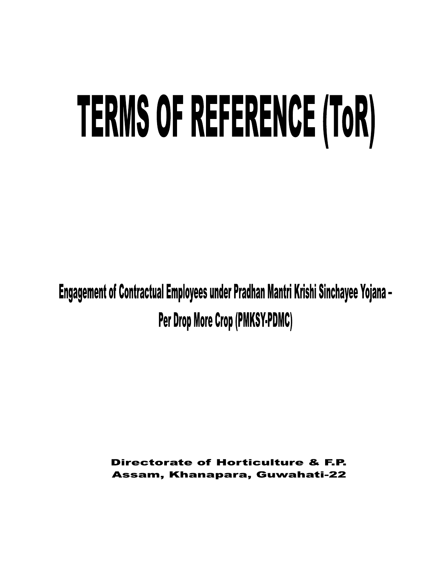# TERMS OF REFERENCE (TOR)

Engagement of Contractual Employees under Pradhan Mantri Krishi Sinchayee Yojana -Per Drop More Crop (PMKSY-PDMC)

> Directorate of Horticulture & F.P. Assam, Khanapara, Guwahati-22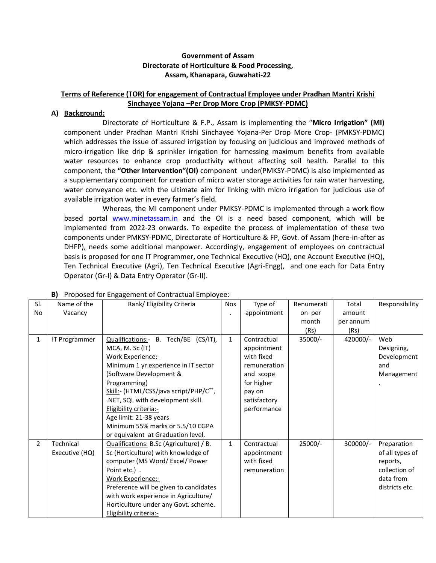## **Government of Assam Directorate of Horticulture & Food Processing, Assam, Khanapara, Guwahati-22**

# **Terms of Reference (TOR) for engagement of Contractual Employee under Pradhan Mantri Krishi Sinchayee Yojana –Per Drop More Crop (PMKSY-PDMC)**

### **A) Background:**

Directorate of Horticulture & F.P., Assam is implementing the "**Micro Irrigation" (MI)** component under Pradhan Mantri Krishi Sinchayee Yojana-Per Drop More Crop- (PMKSY-PDMC) which addresses the issue of assured irrigation by focusing on judicious and improved methods of micro-irrigation like drip & sprinkler irrigation for harnessing maximum benefits from available water resources to enhance crop productivity without affecting soil health. Parallel to this component, the **"Other Intervention"(OI)** component under(PMKSY-PDMC) is also implemented as a supplementary component for creation of micro water storage activities for rain water harvesting, water conveyance etc. with the ultimate aim for linking with micro irrigation for judicious use of available irrigation water in every farmer's field.

Whereas, the MI component under PMKSY-PDMC is implemented through a work flow based portal [www.minetassam.in](http://www.minetassam.in/) and the OI is a need based component, which will be implemented from 2022-23 onwards. To expedite the process of implementation of these two components under PMKSY-PDMC, Directorate of Horticulture & FP, Govt. of Assam (here-in-after as DHFP), needs some additional manpower. Accordingly, engagement of employees on contractual basis is proposed for one IT Programmer, one Technical Executive (HQ), one Account Executive (HQ), Ten Technical Executive (Agri), Ten Technical Executive (Agri-Engg), and one each for Data Entry Operator (Gr-I) & Data Entry Operator (Gr-II).

| SI.            | Name of the                 | Rank/ Eligibility Criteria                                                                                                                                                                                                                                                                                             | <b>Nos</b>   | Type of                                                                                                                      | Renumerati | Total     | Responsibility                                                                             |
|----------------|-----------------------------|------------------------------------------------------------------------------------------------------------------------------------------------------------------------------------------------------------------------------------------------------------------------------------------------------------------------|--------------|------------------------------------------------------------------------------------------------------------------------------|------------|-----------|--------------------------------------------------------------------------------------------|
| No             | Vacancy                     |                                                                                                                                                                                                                                                                                                                        |              | appointment                                                                                                                  | on per     | amount    |                                                                                            |
|                |                             |                                                                                                                                                                                                                                                                                                                        |              |                                                                                                                              | month      | per annum |                                                                                            |
|                |                             |                                                                                                                                                                                                                                                                                                                        |              |                                                                                                                              | (Rs)       | (Rs)      |                                                                                            |
| 1              | IT Programmer               | Qualifications:- B. Tech/BE (CS/IT),<br>MCA, M. Sc (IT)<br><b>Work Experience:-</b><br>Minimum 1 yr experience in IT sector<br>(Software Development &<br>Programming)<br>Skill:- (HTML/CSS/java script/PHP/C <sup>++</sup> ,<br>.NET, SQL with development skill.<br>Eligibility criteria:-<br>Age limit: 21-38 years | $\mathbf{1}$ | Contractual<br>appointment<br>with fixed<br>remuneration<br>and scope<br>for higher<br>pay on<br>satisfactory<br>performance | 35000/-    | 420000/-  | Web<br>Designing,<br>Development<br>and<br>Management                                      |
|                |                             | Minimum 55% marks or 5.5/10 CGPA<br>or equivalent at Graduation level.                                                                                                                                                                                                                                                 |              |                                                                                                                              |            |           |                                                                                            |
| $\overline{2}$ | Technical<br>Executive (HQ) | Qualifications: B.Sc (Agriculture) / B.<br>Sc (Horticulture) with knowledge of<br>computer (MS Word/ Excel/ Power<br>Point etc.).<br>Work Experience:-<br>Preference will be given to candidates<br>with work experience in Agriculture/<br>Horticulture under any Govt. scheme.<br>Eligibility criteria:-             | $\mathbf{1}$ | Contractual<br>appointment<br>with fixed<br>remuneration                                                                     | 25000/-    | 300000/-  | Preparation<br>of all types of<br>reports,<br>collection of<br>data from<br>districts etc. |

## **B)** Proposed for Engagement of Contractual Employee: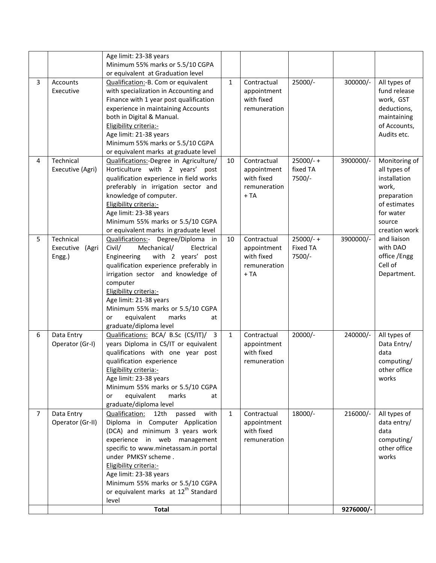|                |                                           | Age limit: 23-38 years                                                                                                                                                                                                                                                                                                                                             |              |                                                                   |                                          |           |                                                                                                                               |
|----------------|-------------------------------------------|--------------------------------------------------------------------------------------------------------------------------------------------------------------------------------------------------------------------------------------------------------------------------------------------------------------------------------------------------------------------|--------------|-------------------------------------------------------------------|------------------------------------------|-----------|-------------------------------------------------------------------------------------------------------------------------------|
|                |                                           | Minimum 55% marks or 5.5/10 CGPA                                                                                                                                                                                                                                                                                                                                   |              |                                                                   |                                          |           |                                                                                                                               |
|                |                                           | or equivalent at Graduation level                                                                                                                                                                                                                                                                                                                                  |              |                                                                   |                                          |           |                                                                                                                               |
| 3              | Accounts<br>Executive                     | Qualification:-B. Com or equivalent<br>with specialization in Accounting and<br>Finance with 1 year post qualification<br>experience in maintaining Accounts<br>both in Digital & Manual.<br>Eligibility criteria:-                                                                                                                                                | $\mathbf{1}$ | Contractual<br>appointment<br>with fixed<br>remuneration          | 25000/-                                  | 300000/-  | All types of<br>fund release<br>work, GST<br>deductions,<br>maintaining<br>of Accounts,                                       |
|                |                                           | Age limit: 21-38 years<br>Minimum 55% marks or 5.5/10 CGPA                                                                                                                                                                                                                                                                                                         |              |                                                                   |                                          |           | Audits etc.                                                                                                                   |
|                |                                           | or equivalent marks at graduate level                                                                                                                                                                                                                                                                                                                              |              |                                                                   |                                          |           |                                                                                                                               |
| 4              | Technical<br>Executive (Agri)             | Qualifications:-Degree in Agriculture/<br>Horticulture with 2 years'<br>post<br>qualification experience in field works<br>preferably in irrigation sector and<br>knowledge of computer.<br>Eligibility criteria:-<br>Age limit: 23-38 years<br>Minimum 55% marks or 5.5/10 CGPA<br>or equivalent marks in graduate level                                          | 10           | Contractual<br>appointment<br>with fixed<br>remuneration<br>$+TA$ | $25000/- +$<br>fixed TA<br>7500/-        | 3900000/- | Monitoring of<br>all types of<br>installation<br>work,<br>preparation<br>of estimates<br>for water<br>source<br>creation work |
| 5              | Technical<br>Executive<br>(Agri<br>Engg.) | Qualifications:- Degree/Diploma<br>in<br>Civil/<br>Mechanical/<br>Electrical<br>with 2 years' post<br>Engineering<br>qualification experience preferably in<br>irrigation sector and knowledge of<br>computer<br>Eligibility criteria:-<br>Age limit: 21-38 years<br>Minimum 55% marks or 5.5/10 CGPA<br>equivalent<br>marks<br>or<br>at<br>graduate/diploma level | 10           | Contractual<br>appointment<br>with fixed<br>remuneration<br>$+TA$ | $25000/- +$<br><b>Fixed TA</b><br>7500/- | 3900000/- | and liaison<br>with DAO<br>office / Engg<br>Cell of<br>Department.                                                            |
| 6              | Data Entry<br>Operator (Gr-I)             | Qualifications: BCA/ B.Sc (CS/IT)/ 3<br>years Diploma in CS/IT or equivalent<br>qualifications with one year post<br>qualification experience<br>Eligibility criteria:-<br>Age limit: 23-38 years<br>Minimum 55% marks or 5.5/10 CGPA<br>equivalent<br>marks<br>or<br>at<br>graduate/diploma level                                                                 | $\mathbf{1}$ | Contractual<br>appointment<br>with fixed<br>remuneration          | 20000/-                                  | 240000/-  | All types of<br>Data Entry/<br>data<br>computing/<br>other office<br>works                                                    |
| $\overline{7}$ | Data Entry<br>Operator (Gr-II)            | Qualification:<br>with<br>12th<br>passed<br>Diploma in Computer Application<br>(DCA) and minimum 3 years work<br>experience in web management<br>specific to www.minetassam.in portal<br>under PMKSY scheme.<br>Eligibility criteria:-<br>Age limit: 23-38 years<br>Minimum 55% marks or 5.5/10 CGPA<br>or equivalent marks at 12 <sup>th</sup> Standard<br>level  | $\mathbf{1}$ | Contractual<br>appointment<br>with fixed<br>remuneration          | 18000/-                                  | 216000/-  | All types of<br>data entry/<br>data<br>computing/<br>other office<br>works                                                    |
|                |                                           | <b>Total</b>                                                                                                                                                                                                                                                                                                                                                       |              |                                                                   |                                          | 9276000/- |                                                                                                                               |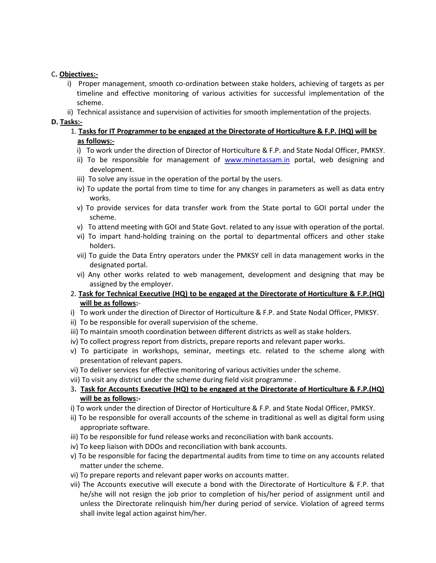# C**. Objectives:-**

- i) Proper management, smooth co-ordination between stake holders, achieving of targets as per timeline and effective monitoring of various activities for successful implementation of the scheme.
- ii) Technical assistance and supervision of activities for smooth implementation of the projects.

## **D. Tasks:-**

# 1. **Tasks for IT Programmer to be engaged at the Directorate of Horticulture & F.P. (HQ) will be as follows:-**

- i) To work under the direction of Director of Horticulture & F.P. and State Nodal Officer, PMKSY.
- ii) To be responsible for management of [www.minetassam.in](http://www.minetassam.in/) portal, web designing and development.
- iii) To solve any issue in the operation of the portal by the users.
- iv) To update the portal from time to time for any changes in parameters as well as data entry works.
- v) To provide services for data transfer work from the State portal to GOI portal under the scheme.
- v) To attend meeting with GOI and State Govt. related to any issue with operation of the portal.
- vi) To impart hand-holding training on the portal to departmental officers and other stake holders.
- vii) To guide the Data Entry operators under the PMKSY cell in data management works in the designated portal.
- vi) Any other works related to web management, development and designing that may be assigned by the employer.
- 2. **Task for Technical Executive (HQ) to be engaged at the Directorate of Horticulture & F.P.(HQ) will be as follows:**-
- i) To work under the direction of Director of Horticulture & F.P. and State Nodal Officer, PMKSY.
- ii) To be responsible for overall supervision of the scheme.
- iii) To maintain smooth coordination between different districts as well as stake holders.
- iv) To collect progress report from districts, prepare reports and relevant paper works.
- v) To participate in workshops, seminar, meetings etc. related to the scheme along with presentation of relevant papers.
- vi) To deliver services for effective monitoring of various activities under the scheme.
- vii) To visit any district under the scheme during field visit programme .
- 3**. Task for Accounts Executive (HQ) to be engaged at the Directorate of Horticulture & F.P.(HQ) will be as follows:-**
- i) To work under the direction of Director of Horticulture & F.P. and State Nodal Officer, PMKSY.
- ii) To be responsible for overall accounts of the scheme in traditional as well as digital form using appropriate software.
- iii) To be responsible for fund release works and reconciliation with bank accounts.
- iv) To keep liaison with DDOs and reconciliation with bank accounts.
- v) To be responsible for facing the departmental audits from time to time on any accounts related matter under the scheme.
- vi) To prepare reports and relevant paper works on accounts matter.
- vii) The Accounts executive will execute a bond with the Directorate of Horticulture & F.P. that he/she will not resign the job prior to completion of his/her period of assignment until and unless the Directorate relinquish him/her during period of service. Violation of agreed terms shall invite legal action against him/her.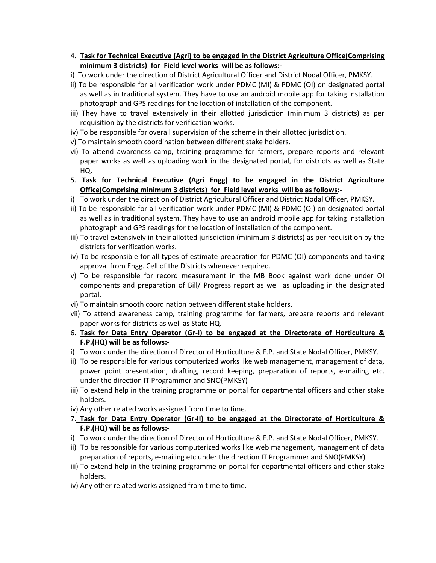- 4. **Task for Technical Executive (Agri) to be engaged in the District Agriculture Office(Comprising minimum 3 districts) for Field level works will be as follows:-**
- i) To work under the direction of District Agricultural Officer and District Nodal Officer, PMKSY.
- ii) To be responsible for all verification work under PDMC (MI) & PDMC (OI) on designated portal as well as in traditional system. They have to use an android mobile app for taking installation photograph and GPS readings for the location of installation of the component.
- iii) They have to travel extensively in their allotted jurisdiction (minimum 3 districts) as per requisition by the districts for verification works.
- iv) To be responsible for overall supervision of the scheme in their allotted jurisdiction.
- v) To maintain smooth coordination between different stake holders.
- vi) To attend awareness camp, training programme for farmers, prepare reports and relevant paper works as well as uploading work in the designated portal, for districts as well as State HQ.
- 5. **Task for Technical Executive (Agri Engg) to be engaged in the District Agriculture Office(Comprising minimum 3 districts) for Field level works will be as follows:-**
- i) To work under the direction of District Agricultural Officer and District Nodal Officer, PMKSY.
- ii) To be responsible for all verification work under PDMC (MI) & PDMC (OI) on designated portal as well as in traditional system. They have to use an android mobile app for taking installation photograph and GPS readings for the location of installation of the component.
- iii) To travel extensively in their allotted jurisdiction (minimum 3 districts) as per requisition by the districts for verification works.
- iv) To be responsible for all types of estimate preparation for PDMC (OI) components and taking approval from Engg. Cell of the Districts whenever required.
- v) To be responsible for record measurement in the MB Book against work done under OI components and preparation of Bill/ Progress report as well as uploading in the designated portal.
- vi) To maintain smooth coordination between different stake holders.
- vii) To attend awareness camp, training programme for farmers, prepare reports and relevant paper works for districts as well as State HQ.
- 6. **Task for Data Entry Operator (Gr-I) to be engaged at the Directorate of Horticulture & F.P.(HQ) will be as follows:-**
- i) To work under the direction of Director of Horticulture & F.P. and State Nodal Officer, PMKSY.
- ii) To be responsible for various computerized works like web management, management of data, power point presentation, drafting, record keeping, preparation of reports, e-mailing etc. under the direction IT Programmer and SNO(PMKSY)
- iii) To extend help in the training programme on portal for departmental officers and other stake holders.
- iv) Any other related works assigned from time to time.
- 7. **Task for Data Entry Operator (Gr-II) to be engaged at the Directorate of Horticulture & F.P.(HQ) will be as follows:-**
- i) To work under the direction of Director of Horticulture & F.P. and State Nodal Officer, PMKSY.
- ii) To be responsible for various computerized works like web management, management of data preparation of reports, e-mailing etc under the direction IT Programmer and SNO(PMKSY)
- iii) To extend help in the training programme on portal for departmental officers and other stake holders.
- iv) Any other related works assigned from time to time.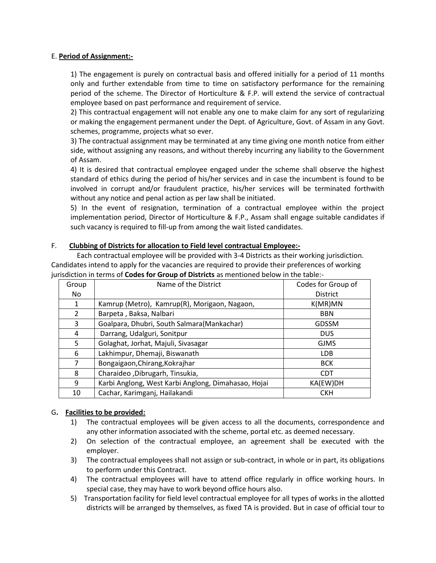## E. **Period of Assignment:-**

1) The engagement is purely on contractual basis and offered initially for a period of 11 months only and further extendable from time to time on satisfactory performance for the remaining period of the scheme. The Director of Horticulture & F.P. will extend the service of contractual employee based on past performance and requirement of service.

2) This contractual engagement will not enable any one to make claim for any sort of regularizing or making the engagement permanent under the Dept. of Agriculture, Govt. of Assam in any Govt. schemes, programme, projects what so ever.

3) The contractual assignment may be terminated at any time giving one month notice from either side, without assigning any reasons, and without thereby incurring any liability to the Government of Assam.

4) It is desired that contractual employee engaged under the scheme shall observe the highest standard of ethics during the period of his/her services and in case the incumbent is found to be involved in corrupt and/or fraudulent practice, his/her services will be terminated forthwith without any notice and penal action as per law shall be initiated.

5) In the event of resignation, termination of a contractual employee within the project implementation period, Director of Horticulture & F.P., Assam shall engage suitable candidates if such vacancy is required to fill-up from among the wait listed candidates.

# F. **Clubbing of Districts for allocation to Field level contractual Employee:-**

Each contractual employee will be provided with 3-4 Districts as their working jurisdiction. Candidates intend to apply for the vacancies are required to provide their preferences of working jurisdiction in terms of **Codes for Group of Districts** as mentioned below in the table:-

| Group | Name of the District                                | Codes for Group of |  |
|-------|-----------------------------------------------------|--------------------|--|
| No.   |                                                     | <b>District</b>    |  |
| 1     | Kamrup (Metro), Kamrup(R), Morigaon, Nagaon,        | K(MR)MN            |  |
| 2     | Barpeta, Baksa, Nalbari                             | <b>BBN</b>         |  |
| 3     | Goalpara, Dhubri, South Salmara(Mankachar)          | <b>GDSSM</b>       |  |
| 4     | Darrang, Udalguri, Sonitpur                         | <b>DUS</b>         |  |
| 5     | Golaghat, Jorhat, Majuli, Sivasagar                 | <b>GJMS</b>        |  |
| 6     | Lakhimpur, Dhemaji, Biswanath                       | <b>LDB</b>         |  |
| 7     | Bongaigaon, Chirang, Kokrajhar                      | <b>BCK</b>         |  |
| 8     | Charaideo, Dibrugarh, Tinsukia,                     | <b>CDT</b>         |  |
| 9     | Karbi Anglong, West Karbi Anglong, Dimahasao, Hojai | KA(EW)DH           |  |
| 10    | Cachar, Karimganj, Hailakandi                       | <b>CKH</b>         |  |

## G**. Facilities to be provided:**

- 1) The contractual employees will be given access to all the documents, correspondence and any other information associated with the scheme, portal etc. as deemed necessary.
- 2) On selection of the contractual employee, an agreement shall be executed with the employer.
- 3) The contractual employees shall not assign or sub-contract, in whole or in part, its obligations to perform under this Contract.
- 4) The contractual employees will have to attend office regularly in office working hours. In special case, they may have to work beyond office hours also.
- 5) Transportation facility for field level contractual employee for all types of works in the allotted districts will be arranged by themselves, as fixed TA is provided. But in case of official tour to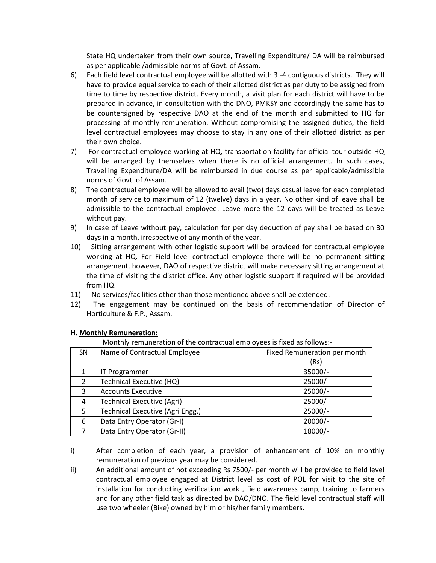State HQ undertaken from their own source, Travelling Expenditure/ DA will be reimbursed as per applicable /admissible norms of Govt. of Assam.

- 6) Each field level contractual employee will be allotted with 3 -4 contiguous districts. They will have to provide equal service to each of their allotted district as per duty to be assigned from time to time by respective district. Every month, a visit plan for each district will have to be prepared in advance, in consultation with the DNO, PMKSY and accordingly the same has to be countersigned by respective DAO at the end of the month and submitted to HQ for processing of monthly remuneration. Without compromising the assigned duties, the field level contractual employees may choose to stay in any one of their allotted district as per their own choice.
- 7) For contractual employee working at HQ, transportation facility for official tour outside HQ will be arranged by themselves when there is no official arrangement. In such cases, Travelling Expenditure/DA will be reimbursed in due course as per applicable/admissible norms of Govt. of Assam.
- 8) The contractual employee will be allowed to avail (two) days casual leave for each completed month of service to maximum of 12 (twelve) days in a year. No other kind of leave shall be admissible to the contractual employee. Leave more the 12 days will be treated as Leave without pay.
- 9) In case of Leave without pay, calculation for per day deduction of pay shall be based on 30 days in a month, irrespective of any month of the year.
- 10) Sitting arrangement with other logistic support will be provided for contractual employee working at HQ. For Field level contractual employee there will be no permanent sitting arrangement, however, DAO of respective district will make necessary sitting arrangement at the time of visiting the district office. Any other logistic support if required will be provided from HQ.
- 11) No services/facilities other than those mentioned above shall be extended.
- 12) The engagement may be continued on the basis of recommendation of Director of Horticulture & F.P., Assam.

| Monthly remuneration of the contractual employees is fixed as follows:- |                                   |                              |  |  |  |
|-------------------------------------------------------------------------|-----------------------------------|------------------------------|--|--|--|
| SN                                                                      | Name of Contractual Employee      | Fixed Remuneration per month |  |  |  |
|                                                                         |                                   | (Rs)                         |  |  |  |
| 1                                                                       | <b>IT Programmer</b>              | 35000/-                      |  |  |  |
| $\overline{2}$                                                          | Technical Executive (HQ)          | $25000/-$                    |  |  |  |
| 3                                                                       | <b>Accounts Executive</b>         | $25000/-$                    |  |  |  |
| 4                                                                       | <b>Technical Executive (Agri)</b> | $25000/-$                    |  |  |  |
| 5                                                                       | Technical Executive (Agri Engg.)  | 25000/-                      |  |  |  |
| 6                                                                       | Data Entry Operator (Gr-I)        | $20000/-$                    |  |  |  |
|                                                                         | Data Entry Operator (Gr-II)       | 18000/-                      |  |  |  |

## **H. Monthly Remuneration:**

- i) After completion of each year, a provision of enhancement of 10% on monthly remuneration of previous year may be considered.
- ii) An additional amount of not exceeding Rs 7500/- per month will be provided to field level contractual employee engaged at District level as cost of POL for visit to the site of installation for conducting verification work , field awareness camp, training to farmers and for any other field task as directed by DAO/DNO. The field level contractual staff will use two wheeler (Bike) owned by him or his/her family members.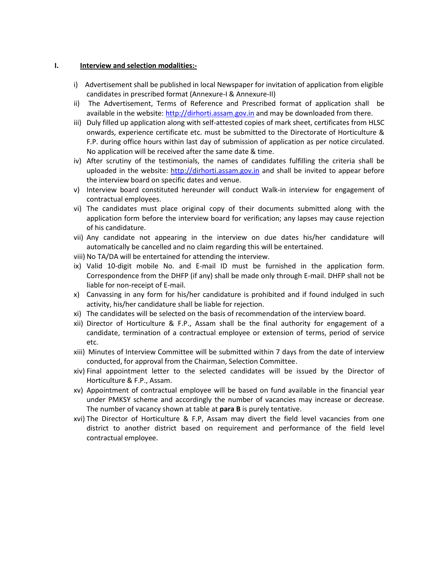#### **I. Interview and selection modalities:-**

- i) Advertisement shall be published in local Newspaper for invitation of application from eligible candidates in prescribed format (Annexure-I & Annexure-II)
- ii) The Advertisement, Terms of Reference and Prescribed format of application shall be available in the website: [http://dirhorti.assam.gov.in](http://dirhorti.assam.gov.in/) and may be downloaded from there.
- iii) Duly filled up application along with self-attested copies of mark sheet, certificates from HLSC onwards, experience certificate etc. must be submitted to the Directorate of Horticulture & F.P. during office hours within last day of submission of application as per notice circulated. No application will be received after the same date & time.
- iv) After scrutiny of the testimonials, the names of candidates fulfilling the criteria shall be uploaded in the website:  $\frac{http://dirhorti.assam.gov.in}{http://dirhorti.assam.gov.in}$  and shall be invited to appear before the interview board on specific dates and venue.
- v) Interview board constituted hereunder will conduct Walk-in interview for engagement of contractual employees.
- vi) The candidates must place original copy of their documents submitted along with the application form before the interview board for verification; any lapses may cause rejection of his candidature.
- vii) Any candidate not appearing in the interview on due dates his/her candidature will automatically be cancelled and no claim regarding this will be entertained.
- viii) No TA/DA will be entertained for attending the interview.
- ix) Valid 10-digit mobile No. and E-mail ID must be furnished in the application form. Correspondence from the DHFP (if any) shall be made only through E-mail. DHFP shall not be liable for non-receipt of E-mail.
- x) Canvassing in any form for his/her candidature is prohibited and if found indulged in such activity, his/her candidature shall be liable for rejection.
- xi) The candidates will be selected on the basis of recommendation of the interview board.
- xii) Director of Horticulture & F.P., Assam shall be the final authority for engagement of a candidate, termination of a contractual employee or extension of terms, period of service etc.
- xiii) Minutes of Interview Committee will be submitted within 7 days from the date of interview conducted, for approval from the Chairman, Selection Committee.
- xiv) Final appointment letter to the selected candidates will be issued by the Director of Horticulture & F.P., Assam.
- xv) Appointment of contractual employee will be based on fund available in the financial year under PMKSY scheme and accordingly the number of vacancies may increase or decrease. The number of vacancy shown at table at **para B** is purely tentative.
- xvi) The Director of Horticulture & F.P, Assam may divert the field level vacancies from one district to another district based on requirement and performance of the field level contractual employee.